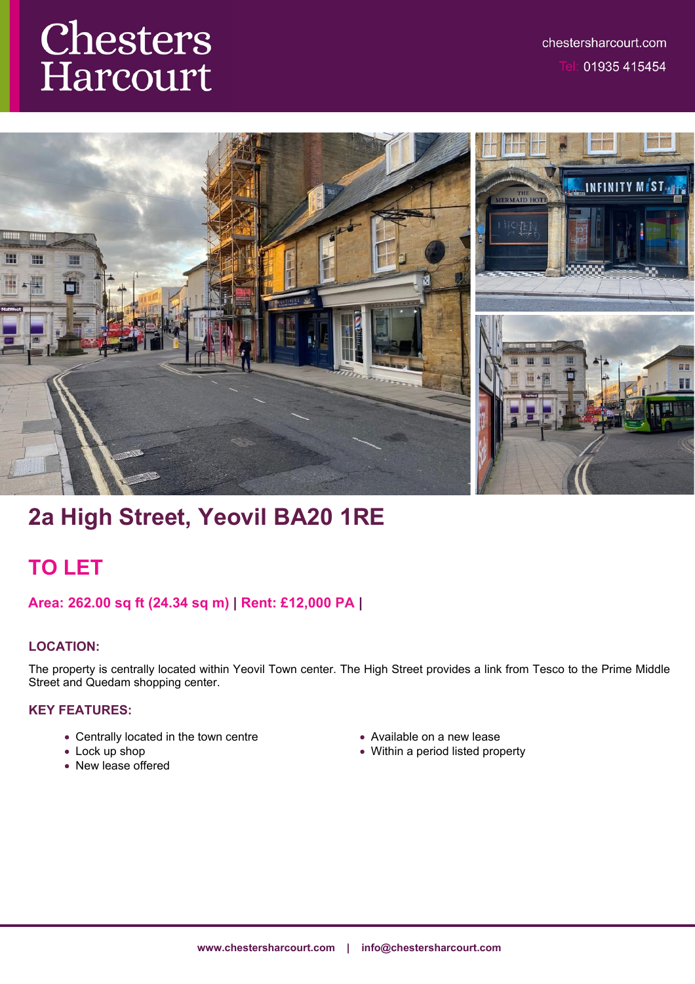# **Chesters**<br>Harcourt



# **2a High Street, Yeovil BA20 1RE**

## **TO LET**

## **Area: 262.00 sq ft (24.34 sq m) | Rent: £12,000 PA |**

## **LOCATION:**

The property is centrally located within Yeovil Town center. The High Street provides a link from Tesco to the Prime Middle Street and Quedam shopping center.

### **KEY FEATURES:**

- Centrally located in the town centre
- Lock up shop
- New lease offered
- Available on a new lease
- Within a period listed property